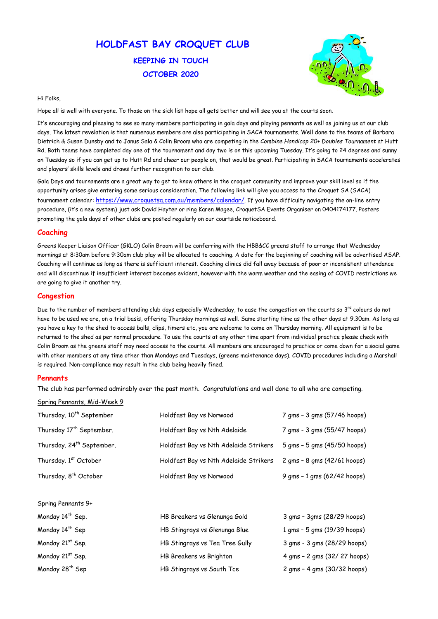# HOLDFAST BAY CROQUET CLUB KEEPING IN TOUCH OCTOBER 2020



#### Hi Folks,

Hope all is well with everyone. To those on the sick list hope all gets better and will see you at the courts soon.

It's encouraging and pleasing to see so many members participating in gala days and playing pennants as well as joining us at our club days. The latest revelation is that numerous members are also participating in SACA tournaments. Well done to the teams of Barbara Dietrich & Susan Dunsby and to Janus Sala & Colin Broom who are competing in the Combine Handicap 20+ Doubles Tournament at Hutt Rd. Both teams have completed day one of the tournament and day two is on this upcoming Tuesday. It's going to 24 degrees and sunny on Tuesday so if you can get up to Hutt Rd and cheer our people on, that would be great. Participating in SACA tournaments accelerates and players' skills levels and draws further recognition to our club.

Gala Days and tournaments are a great way to get to know others in the croquet community and improve your skill level so if the opportunity arises give entering some serious consideration. The following link will give you access to the Croquet SA (SACA) tournament calendar: https://www.croquetsa.com.au/members/calendar/. If you have difficulty navigating the on-line entry procedure, (it's a new system) just ask David Hayter or ring Karen Magee, CroquetSA Events Organiser on 0404174177. Posters promoting the gala days of other clubs are posted regularly on our courtside noticeboard.

Due to the number of members attending club days especially Wednesday, to ease the congestion on the courts so 3rd colours do not have to be used we are, on a trial basis, offering Thursday mornings as well. Same starting time as the other days at 9.30am. As long as you have a key to the shed to access balls, clips, timers etc, you are welcome to come on Thursday morning. All equipment is to be returned to the shed as per normal procedure. To use the courts at any other time apart from individual practice please check with Colin Broom as the greens staff may need access to the courts. All members are encouraged to practice or come down for a social game with other members at any time other than Mondays and Tuesdays, (greens maintenance days). COVID procedures including a Marshall is required. Non-compliance may result in the club being heavily fined.

## **Pennants**

## Coaching

Monday 14th Sep. HB Breakers vs Glenunga Gold 3 gms – 3gms (28/29 hoops) Monday 14<sup>th</sup> Sep **HB Stingrays vs Glenunga Blue** 1 gms - 5 gms (19/39 hoops) Monday 21st Sep. HB Stingrays vs Tea Tree Gully 3 gms - 3 gms (28/29 hoops) Monday 21st Sep. HB Breakers vs Brighton 4 gms – 2 gms (32/ 27 hoops) Monday 28<sup>th</sup> Sep **HB Stingrays vs South Tce** 2 gms - 4 gms (30/32 hoops)

Greens Keeper Liaison Officer (GKLO) Colin Broom will be conferring with the HBB&CC greens staff to arrange that Wednesday mornings at 8:30am before 9:30am club play will be allocated to coaching. A date for the beginning of coaching will be advertised ASAP. Coaching will continue as long as there is sufficient interest. Coaching clinics did fall away because of poor or inconsistent attendance and will discontinue if insufficient interest becomes evident, however with the warm weather and the easing of COVID restrictions we are going to give it another try.

## Congestion

The club has performed admirably over the past month. Congratulations and well done to all who are competing.

#### Spring Pennants, Mid-Week 9

| Thursday. 10 <sup>th</sup> September  | Holdfast Bay vs Norwood               | 7 gms - 3 gms (57/46 hoops)    |
|---------------------------------------|---------------------------------------|--------------------------------|
| Thursday 17 <sup>th</sup> September.  | Holdfast Bay vs Nth Adelaide          | 7 gms - 3 gms (55/47 hoops)    |
| Thursday. 24 <sup>th</sup> September. | Holdfast Bay vs Nth Adelaide Strikers | $5$ gms $-5$ gms (45/50 hoops) |
| Thursday. 1st October                 | Holdfast Bay vs Nth Adelaide Strikers | 2 gms - 8 gms (42/61 hoops)    |

Thursday. 8<sup>th</sup> October **Holdfast Bay vs Norwood** 9 gms - 1 gms (62/42 hoops)

Spring Pennants 9+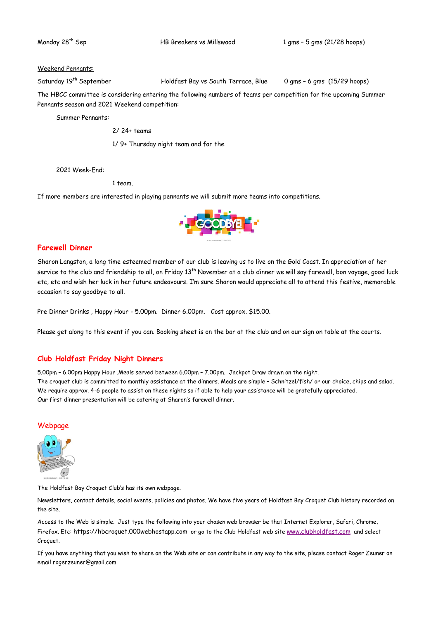Monday 28th Sep HB Breakers vs Millswood 1 gms – 5 gms (21/28 hoops)

#### Weekend Pennants:

Saturday 19<sup>th</sup> September Holdfast Bay vs South Terrace, Blue 0 gms - 6 gms (15/29 hoops)

The HBCC committee is considering entering the following numbers of teams per competition for the upcoming Summer Pennants season and 2021 Weekend competition:

Summer Pennants:

2/ 24+ teams

1/ 9+ Thursday night team and for the

2021 Week-End:

1 team.

If more members are interested in playing pennants we will submit more teams into competitions.



## Farewell Dinner

Sharon Langston, a long time esteemed member of our club is leaving us to live on the Gold Coast. In appreciation of her service to the club and friendship to all, on Friday 13<sup>th</sup> November at a club dinner we will say farewell, bon voyage, good luck etc, etc and wish her luck in her future endeavours. I'm sure Sharon would appreciate all to attend this festive, memorable occasion to say goodbye to all.

Pre Dinner Drinks , Happy Hour - 5.00pm. Dinner 6.00pm. Cost approx. \$15.00.

Please get along to this event if you can. Booking sheet is on the bar at the club and on our sign on table at the courts.

## Club Holdfast Friday Night Dinners

5.00pm – 6.00pm Happy Hour .Meals served between 6.00pm – 7.00pm. Jackpot Draw drawn on the night. The croquet club is committed to monthly assistance at the dinners. Meals are simple – Schnitzel/fish/ or our choice, chips and salad. We require approx. 4-6 people to assist on these nights so if able to help your assistance will be gratefully appreciated. Our first dinner presentation will be catering at Sharon's farewell dinner.

## Webpage



#### The Holdfast Bay Croquet Club's has its own webpage.

Newsletters, contact details, social events, policies and photos. We have five years of Holdfast Bay Croquet Club history recorded on the site.

Access to the Web is simple. Just type the following into your chosen web browser be that Internet Explorer, Safari, Chrome, Firefox. Etc: https://hbcroquet.000webhostapp.com or go to the Club Holdfast web site www.clubholdfast.com and select Croquet.

If you have anything that you wish to share on the Web site or can contribute in any way to the site, please contact Roger Zeuner on email rogerzeuner@gmail.com